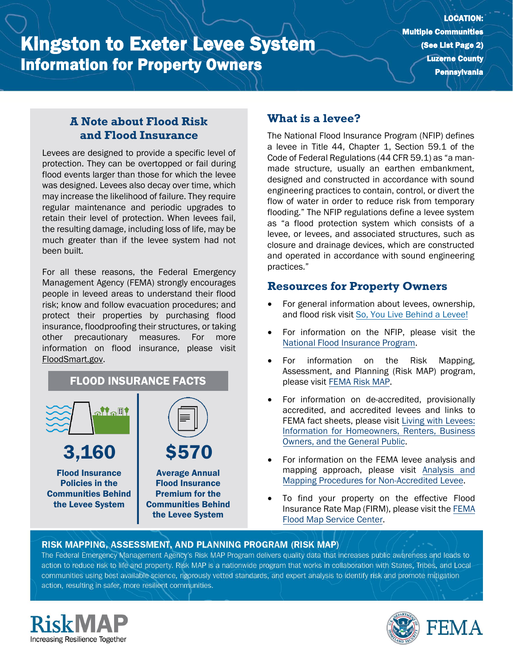# Kingston to Exeter Levee System Information for Property Owners

## **A Note about Flood Risk and Flood Insurance**

Levees are designed to provide a specific level of protection. They can be overtopped or fail during flood events larger than those for which the levee was designed. Levees also decay over time, which may increase the likelihood of failure. They require regular maintenance and periodic upgrades to retain their level of protection. When levees fail, the resulting damage, including loss of life, may be much greater than if the levee system had not been built.

For all these reasons, the Federal Emergency Management Agency (FEMA) strongly encourages people in leveed areas to understand their flood risk; know and follow evacuation procedures; and protect their properties by purchasing flood insurance, floodproofing their structures, or taking other precautionary measures. For more information on flood insurance, please visit [FloodSmart.gov.](https://www.floodsmart.gov/)



Policies in the Communities Behind the Levee System

| <b>S570</b>               |
|---------------------------|
| <b>Average Annual</b>     |
| <b>Flood Insurance</b>    |
| <b>Premium for the</b>    |
| <b>Communities Behind</b> |
| the Levee System          |

# **What is a levee?**

The National Flood Insurance Program (NFIP) defines a levee in Title 44, Chapter 1, Section 59.1 of the Code of Federal Regulations (44 CFR 59.1) as "a manmade structure, usually an earthen embankment, designed and constructed in accordance with sound engineering practices to contain, control, or divert the flow of water in order to reduce risk from temporary flooding." The NFIP regulations define a levee system as "a flood protection system which consists of a levee, or levees, and associated structures, such as closure and drainage devices, which are constructed and operated in accordance with sound engineering practices."

### **Resources for Property Owners**

- For general information about levees, ownership, and flood risk visit [So, You Live Behind a Levee!](https://ascelibrary.org/doi/book/10.1061/9780784410837)
- For information on th[e](https://www.fema.gov/national-flood-insurance-program) NFIP, please visit the [National Flood Insurance Program.](https://www.fema.gov/national-flood-insurance-program)
- For information on the Risk Mapping, Assessment, and Planning (Risk MAP) program, please visit [FEMA Risk MAP.](https://www.fema.gov/flood-maps/tools-resources/risk-map)
- For information on de-accredited, provisionally accredited, and accredited levees and links to FEMA fact sheets, please visit [Living with Levees:](https://www.fema.gov/flood-maps/living-levees) [Information for Homeowners, Renters, Business](https://www.fema.gov/flood-maps/living-levees) [Owners, and the General Public.](https://www.fema.gov/flood-maps/living-levees)
- For information on the FEMA levee analysis and mapping approach, please visit [Analysis and](https://www.fema.gov/media-library-data/20130726-1922-25045-4455/20130703_approachdocument_508.pdf) [Mapping Procedures for Non-Accredited Levee.](https://www.fema.gov/media-library-data/20130726-1922-25045-4455/20130703_approachdocument_508.pdf)
- To find your property on the effective Flood Insurance Rate Map (FIRM), please visit th[e FEMA](https://msc.fema.gov/portal/) [Flood Map Service Center.](https://msc.fema.gov/portal/)

#### RISK MAPPING, ASSESSMENT, AND PLANNING PROGRAM (RISK MAP)

The Federal Emergency Management Agency's Risk MAP Program delivers quality data that increases public awareness and leads to action to reduce risk to life and property. Risk MAP is a nationwide program that works in collaboration with States, Tribes, and Localcommunities using best available science, rigorously vetted standards, and expert analysis to identify risk and promote mitigation action, resulting in safer, more resilient communities.